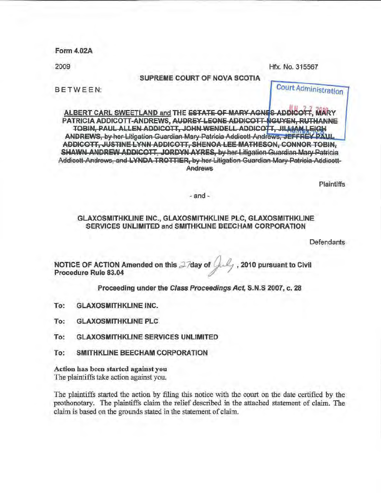Form4.02A

2009 Hfx. No. 315567

SUPREME COURT OF NOVA SCOTIA

BETWEEN: Court Administration

ALBERT CARL SWEETLAND and THE ESTATE OF MARY AGNES ADDICOTT, MARY PATRICIA ADDICOTT-ANDREWS, AUDREY-LEONE ADDICOTT-NGUYEN, RUTHANNE TOBIN, PAUL ALLEN ADDICOTT, JOHN WENDELL ADDICOTT, JILLIAM LEIGH ANDREWS, by her Litigation Guardian Mary Patricia Addicott-Andrews, JEFFREY PAUL AD OlCOTT, JUSTINE LYNN ADDICOTT, SHENOA LEE MATHESON, CONNOR TOBIN, SHAWN ANDREW ADDICOTT, JORDYN AYRES, by her Litigation Guardian Mary Patricia Addicott-Andrews, and LYNDA TROTTIER, by her Litigation Guardian Mary Patricia Addicott-**Andrews** 

**Plaintiffs** 

#### -and-

#### GLAXOSMJTHKLINE INC., GLAXOSMITHKLINE PLC, GLAXOSMITHKLINE SERVICES UNLIMITED and SMITHKLINE BEECHAM CORPORATION

Defendants

NOTICE OF ACTION Amended on this  $2/day$  of  $U_{\text{avg}}$ , 2010 pursuant to Civil Procedure Rule 83.04

Proceeding under the Class Proceedings Act, S.N.S 2007, c. 28

To: GLAXOSMITHKLJNE INC.

To: GLAXOSMITHKLINE PLC

To: GLAXOSMITHKLINE SERVICES UNLIMITED

To: SMITHKLINE BEECHAM CORPORATION

Action has been started against you The plaintiffs take action against you.

The plaintiffs started the action by filing this notice with the court on the date certified by the prothonotary. The plaintiffs claim the relief described in the attached statement of claim. The claim is based on the grounds stated in the statement of claim.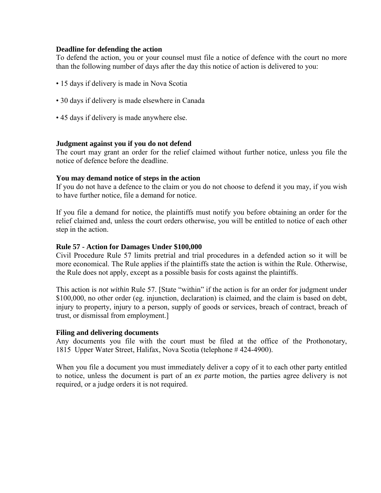#### **Deadline for defending the action**

To defend the action, you or your counsel must file a notice of defence with the court no more than the following number of days after the day this notice of action is delivered to you:

- 15 days if delivery is made in Nova Scotia
- 30 days if delivery is made elsewhere in Canada
- 45 days if delivery is made anywhere else.

## **Judgment against you if you do not defend**

The court may grant an order for the relief claimed without further notice, unless you file the notice of defence before the deadline.

#### **You may demand notice of steps in the action**

If you do not have a defence to the claim or you do not choose to defend it you may, if you wish to have further notice, file a demand for notice.

If you file a demand for notice, the plaintiffs must notify you before obtaining an order for the relief claimed and, unless the court orders otherwise, you will be entitled to notice of each other step in the action.

#### **Rule 57 - Action for Damages Under \$100,000**

Civil Procedure Rule 57 limits pretrial and trial procedures in a defended action so it will be more economical. The Rule applies if the plaintiffs state the action is within the Rule. Otherwise, the Rule does not apply, except as a possible basis for costs against the plaintiffs.

This action is *not within* Rule 57. [State "within" if the action is for an order for judgment under \$100,000, no other order (eg. injunction, declaration) is claimed, and the claim is based on debt, injury to property, injury to a person, supply of goods or services, breach of contract, breach of trust, or dismissal from employment.]

#### **Filing and delivering documents**

Any documents you file with the court must be filed at the office of the Prothonotary, 1815 Upper Water Street, Halifax, Nova Scotia (telephone # 424-4900).

When you file a document you must immediately deliver a copy of it to each other party entitled to notice, unless the document is part of an *ex parte* motion, the parties agree delivery is not required, or a judge orders it is not required.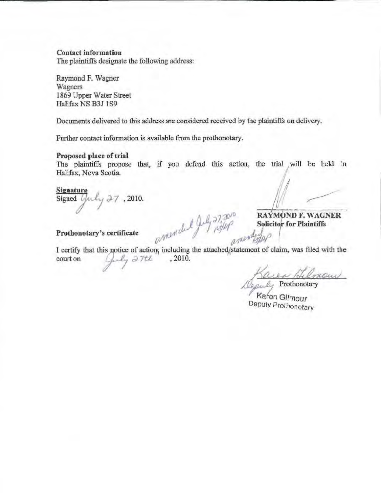## **Contact information**

The plaintiffs designate the following address:

Raymond F. Wagner Wagners 1869 Upper Water Street Halifax NS B3J 1S9

Documents delivered to this address are considered received by the plaintiffs on delivery.

Further contact information is available from the prothonotary.

#### **Proposed place of trial**

The plaintiffs propose that, if you defend this action, the trial will be held in Halifax, Nova Scotia.

## **Signature**

Signed (  $-7, 2010.$ 

**Solicitor for Plaintiffs** 

Prothonotary's certificate  $u^{\text{MMP}}$  ,  $u^{\text{MMP}}$  ,  $u^{\text{MMP}}$ 

I certify that this notice of action, including the attached, statement of claim, was filed with the court on  $\left(\frac{1}{2}, \frac{1}{2}, \frac{1}{2}, \frac{1}{2}, \frac{1}{2}, \frac{1}{2}, \frac{1}{2}, \frac{1}{2}, \frac{1}{2}, \frac{1}{2}, \frac{1}{2}, \frac{1}{2}, \frac{1}{2}, \frac{1}{2}, \frac{1}{2}, \frac{$ 

(J,) *rt.fJftf* <sup>1</sup>

Prothonotary mour

Kafen Gilmour Deputy Prothonotary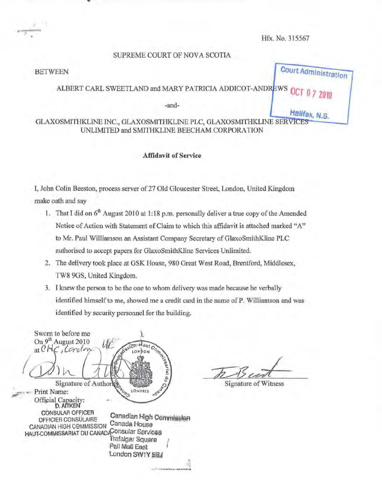Halifax, N.S.

#### SUPREME COURT OF NOVA SCOTIA

# BETWEEN COURT Administration

## ALBERT CARL SWEETLAND and MARY PATRICIA ADDICOT-ANDREWS OF

-and-

GLAXOSMITHKLINE INC., GLAXOSMITHKLINE PLC, GLAXOSMITHKLINE SERVICES UNLIMITED and SMITHKLINE BEECHAM CORPORATION

#### Affidavit of Service

I, John Colin Beeston, process server of 27 Old Gloucester Street, London, United Kingdom make oath and say

- 1. That I did on 6<sup>th</sup> August 2010 at 1:18 p.m. personally deliver a true copy of the Amended Notice of Action with Statement of Claim to which this affidavit is attached marked "A" to Mr. Paul Williamson an Assistant Company Secretary of GlaxoSmithK.line PLC authorised to accept papers for GlaxoSmithKline Services Unlimited.
- 2. The delivery took place at GSK House, 980 Great West Road, Brentford, Middlesex, TW8 90S, United Kingdom.
- 3. I knew the person to be the one to whom delivery was made because be verbally identified himself to me, showed me a credit card in the name of P. Williamson and was identified by security personnel for the building.

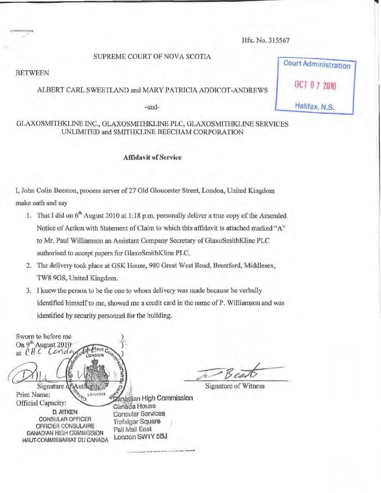## SUPREME COURT OF NOVA SCOTIA

**BETWEEN** 

#### ALBERT CARL SWEETLAND and MARY PATRICIA ADDJCOT-ANDREWS

-and-

## GLAXOSMITHKLINE INC., GLAXOSMITHKLINE PLC, GLAXOSMITHKLINE SERVICES UNLIMITED and SMITHKLINE BEECHAM CORPORATION

#### Affidavit of Service

I, John Colin Beeston, process server of27 Old Gloucester Street, London, United Kingdom make oath and say

- 1. That I did on  $6<sup>th</sup>$  August 2010 at 1:18 p.m. personally deliver a true copy of the Amended Notice of Action with Statement of Claim to which this affidavit is attached marked "A" to Mr. Paul Williamson an Assistant Company Secretary of GlaxoSmithKiinc PLC authorised to accept papers for GlaxoSmitbKline PLC.
- 2. The delivery took place at GSK House, 980 Great West Road, Brentford, Middlesex, TW8 9GS, United Kingdom.
- 3. I knew the person to be the one to whom delivery was made because he verbally identified himself to me, showed me a credit card in the name ofP. Williamson and was identified by security personnel for the building.

Sworn to before me On 9<sup>th</sup> August 2010 **ASSOR HOURS** at  $CHC$ Conda Signature df Au  $0<sup>1</sup>$ Print Name: LONDRES SCANES an High Print Name: expressed a High Commission D. AITKEN Consular Services CONSULAR OFFICER Trafalgar Square OFFICIEA GONSULAIRE Pall Mall East GANADIAN HIGH C0MMISSION London SW1Y 5BJ HAUT-COMMISSARIAT DU CANADA . \_\_ .. \_\_ .... ,\_ ..... -.\_. .... . ... ,\_-

Signature of Witness

Court Administration OCT 0 7 2010

•

Halifax, N.S.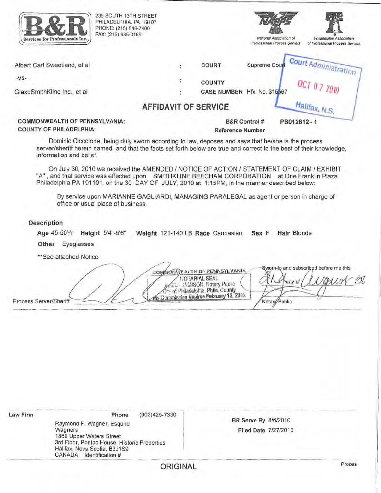|                        | 235 SOUTH 13TH STREET<br>PHILADELPHIA, PA 19107<br>PHONE: (215) 546-7400<br>FAX: (215) 985-0169<br>Services for Professionals Inc.                                                                                                                                                          |                             |                                                                                                                                                                             | National Association of<br>Professional Process Servers | Philadelphia Association<br>of Professional Process Servers |
|------------------------|---------------------------------------------------------------------------------------------------------------------------------------------------------------------------------------------------------------------------------------------------------------------------------------------|-----------------------------|-----------------------------------------------------------------------------------------------------------------------------------------------------------------------------|---------------------------------------------------------|-------------------------------------------------------------|
|                        | Albert Carl Sweetland, et al                                                                                                                                                                                                                                                                |                             | COURT                                                                                                                                                                       | Supreme Cou                                             | Court Administration                                        |
| $-VS-$                 |                                                                                                                                                                                                                                                                                             |                             | <b>COUNTY</b>                                                                                                                                                               |                                                         |                                                             |
|                        | GlaxoSmithKline Inc., et al                                                                                                                                                                                                                                                                 |                             | CASE NUMBER Hfx. No. 315567                                                                                                                                                 |                                                         | <b>OCT 0 7 2010</b>                                         |
|                        |                                                                                                                                                                                                                                                                                             | <b>AFFIDAVIT OF SERVICE</b> |                                                                                                                                                                             |                                                         | Halifax, N.S.                                               |
|                        | COMMONWEALTH OF PENNSYLVANIA:<br><b>COUNTY OF PHILADELPHIA:</b>                                                                                                                                                                                                                             |                             | <b>Reference Number</b>                                                                                                                                                     | B&R Control #                                           | PS012612-1                                                  |
|                        | Dominic Ciccolone, being duly sworn according to law, deposes and says that he/she is the process<br>server/sheriff herein named, and that the facts set forth below are true and correct to the best of their knowledge,<br>information and belief.                                        |                             |                                                                                                                                                                             |                                                         |                                                             |
|                        | On July 30, 2010 we received the AMENDED / NOTICE OF ACTION / STATEMENT OF CLAIM / EXHIBIT<br>"A", and that service was effected upon SMITHKLINE BEECHAM CORPORATION at One Franklin Plaza<br>Philadelphia PA 191101, on the 30 DAY OF JULY, 2010 at 1:15PM, in the manner described below: |                             |                                                                                                                                                                             |                                                         |                                                             |
|                        | By service upon MARIANNE GAGLIARDI, MANAGING PARALEGAL as agent or person in charge of<br>office or usual place of business.                                                                                                                                                                |                             |                                                                                                                                                                             |                                                         |                                                             |
|                        |                                                                                                                                                                                                                                                                                             |                             |                                                                                                                                                                             |                                                         |                                                             |
|                        | <b>Description</b><br>Age 45-50Yr<br>Height 5'4"-5'6"                                                                                                                                                                                                                                       |                             | Weight 121-140 LB Race Caucasian                                                                                                                                            | Sex F                                                   | Hair Blonde                                                 |
|                        | Eyeglasses<br>Other                                                                                                                                                                                                                                                                         |                             |                                                                                                                                                                             |                                                         |                                                             |
|                        | **See attached Notice                                                                                                                                                                                                                                                                       |                             |                                                                                                                                                                             |                                                         |                                                             |
| Process Server/Sheriff |                                                                                                                                                                                                                                                                                             |                             | COMMONWEALTH OF PENNSYLVANIA<br><b>IJOTARIAL SEAL</b><br><b>SALE MANISON, Notary Public</b><br>The of Philadelphia, Phila, County<br>W Commission Expires February 13, 2012 | Notary Public                                           | Sworn-to and subscribed before me this<br>Varien<br>day of  |
|                        |                                                                                                                                                                                                                                                                                             |                             |                                                                                                                                                                             |                                                         |                                                             |
| Law Firm               | Phone<br>Raymond F. Wagner, Esquire<br>Wagners                                                                                                                                                                                                                                              | (902) 425-7330              |                                                                                                                                                                             | BR Serve By 8/6/2010<br>Filed Date 7/27/2010            |                                                             |
|                        | 1869 Upper Waters Street<br>3rd Floor, Pontac House, Historic Properties<br>Halifax, Nova Scotia, B3J1S9                                                                                                                                                                                    |                             |                                                                                                                                                                             |                                                         |                                                             |

ORIGINAL

CANADA Identification#

Proces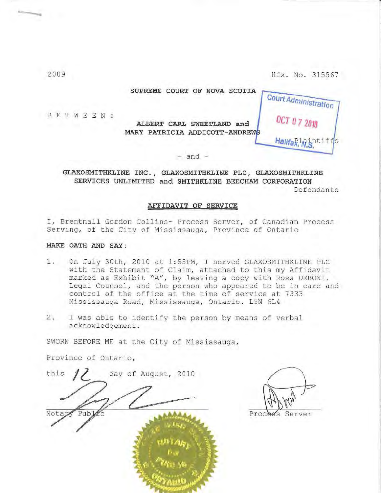| COURT OF NOVA SCOTIA<br><b>SUPREME</b>                                | Court Administration |
|-----------------------------------------------------------------------|----------------------|
| ALBERT CARL SWEETLAND and<br>PATRICIA ADDICOTT-ANDREWS<br><b>MARY</b> | <b>OCT 07 2010</b>   |
|                                                                       | Hallfaglaintiffs     |
|                                                                       |                      |

**GLAXOSMITHKLINE INC., GLAXOSMITHKLINE PLC, GLAXOSMITHKLINE SERVICES UNLIMITED and SMITHKLINE BEECHAM CORPORATION**  Defendants

#### **AFFIDAVIT OF SERVICE**

I, Brentnall Gordon Collins- Process Server, of Canadian Process Serving, of the City of Mississauga, Province of Ontario

#### **MAKE OATH AND SAY:**

- 1. On July 30th, 2010 at 1:55PM, I served GLAXOSMITHKLINE PLC with the Statement of Claim, attached to this my Affidavit marked as Exhibit "A", by leaving a copy with Ross DEBONI, Legal Counsel, and the person who appeared to be in care and control of the office at the time of service at 7333 Mississauga Road, Mississauga, Ontario. L5N 6L4
- 2. I was able to identify the person by means of verbal acknowledgement .

SWORN BEFORE ME at the City of Mississauga,

Province of Ontario,

this  $\frac{1}{2}$  day of August, 2010 Notar Pub 'an NG

Proche Server

2009

B E T W E E N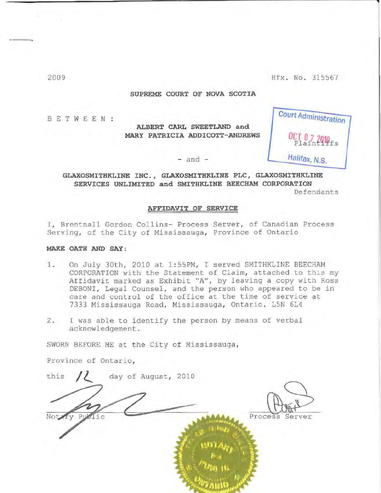**Court AdminiStration-**

**Halifax, N.s.** 

**OtT** *0* **<sup>1</sup>***1n1n* Plaint'iffs

-

**l** 

#### **SUPREME COURT OF NOVA SCOTIA**

B E T W E E N

**ALBERT CARL SWEETLAND and MARY PATRICIA ADDICOTT- ANDREWS** 

 $-$  and  $-$ 

**GLAXOSMITHKLINE INC., GLAXOSMITHKLINE PLC, GLAXOSMITHKLINE SERVICES UNLIMITED and SMITHKLINE BEECHAM CORPORATION**  Defendants

**AFFIDAVIT OF SERVICE** 

I, Brentnall Gordon Collins- Process Server, of Canadian Process Serving, of the City of Mississauga, Province of Ontario

#### **MAKE OATH AND SAY:**

- 1. On July 30th, 2010 at 1:55PM, I served SMITHKLINE BEECHAM CORPORATION with the Statement of Claim, attached to this my Affidavit marked as Exhibit "A", by leaving a copy with Ross DEBONI, Legal Counsel, and the person who appeared to be in care and control of the office at the time of service at 7333 Mississauga Road, Mississauga, Ontario. L5N 6L4
- 2. I was able to identify the person by means of verbal acknowledgement .

SWORN BEFORE ME at the City of Mississauga ,

Province of Ontario,

this  $\frac{1}{2010}$  day of August, 2010 Process Server  $1^\circ$ 

2009

 $\longrightarrow$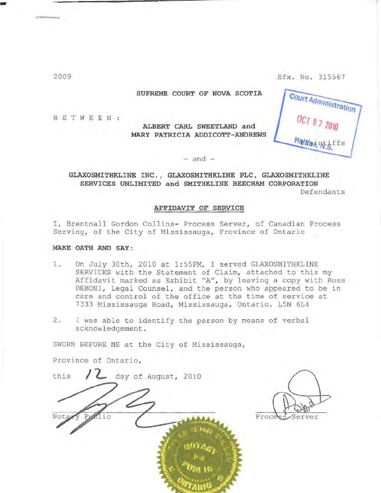**SUPREME COURT OF NOVA SCOTIA** 

B E T W E E N

**ALBERT CARL SWEETLAND and MARY PATRICIA ADDICOTT-ANDREWS** 

Court Administration *HNaintiffs* 

 $-$  and  $-$ 

**GLAXOSMITHKLINE INC . , GLAXOSMITHKLINE PLC, GLAXOSMITHKLINE SERVICES UNLIMITED and SMITHKLINE BEECHAM CORPORATION** 

Defendants

#### **AFFIDAVIT OF SERVICE**

I, Brentnall Gordon Collins- Process Server, of Canadian Process Serving, of the City of Mississauga, Province of Ontario

#### **MAKE OATH AND SAY:**

- 1. On July 30th, 2010 at 1:55PM, I served GLAXOSMITHKLINE SERVICES with the Statement of Claim, attached to this my Affidavit marked as Exhibit "A", by leaving a copy with Ross DEBONI, Legal Counsel, and the person who appeared to be in care and control of the office at the time of service at 7333 Mississauga Road, Mississauga, Ontario. L5N 6L4
- $2.$  I was able to identify the person by means of verbal acknowledgement .

SWORN BEFORE ME at the City of Mississauga,

Province of Ontario,

this  $/2$  day of August, 2010  $i \sigma$ 

Proces Server

2009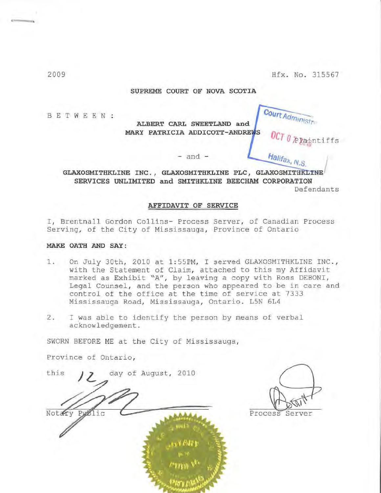**Court Administration** 

Halifax, N.S

**Plaintiffs** 

#### **SUPREME COURT OF NOVA SCOTIA**

BETWEEN:

**ALBERT CARL SWEETLAND and MARY PATRICIA ADDICOTT- ANDRE** 

#### - and -

**GLAXOSMITHKLINE INC ., GLAXOSMITHKLINE PLC, SERVICES UNLIMITED and SMITHKLINE BEECHAM CORPORATION**  Defendants

#### **AFFIDAVIT OF SERVICE**

I, Brentnall Gordon Collins- Process Server, of Canadian Process Serving, of the City of Mississauga, Province of Ontario

#### **MAKE OATH AND SAY:**

- 1. On July 30th, 2010 at 1:55PM, I served GLAXOSMITHKLINE INC., with the Statement of Claim, attached to this my Affidavit marked as Exhibit "A", by leaving a copy with Ross DEBONI, Legal Counsel, and the person who appeared to be in care and control of the office at the time of service at 7333 Mississauga Road, Mississauga, Ontario. L5N 6L4
- 2. I was able to identify the person by means of verbal acknowledgement.

SWORN BEFORE ME at the City of Mississauga,

Province of Ontario,

this  $12$  day of August, 2010 Notary Public  $2000$ 

Process Server

2009

..---..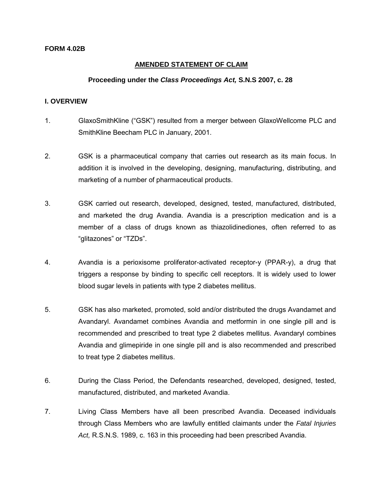## **AMENDED STATEMENT OF CLAIM**

#### **Proceeding under the** *Class Proceedings Act,* **S.N.S 2007, c. 28**

#### **I. OVERVIEW**

- 1. GlaxoSmithKline ("GSK") resulted from a merger between GlaxoWellcome PLC and SmithKline Beecham PLC in January, 2001.
- 2. GSK is a pharmaceutical company that carries out research as its main focus. In addition it is involved in the developing, designing, manufacturing, distributing, and marketing of a number of pharmaceutical products.
- 3. GSK carried out research, developed, designed, tested, manufactured, distributed, and marketed the drug Avandia. Avandia is a prescription medication and is a member of a class of drugs known as thiazolidinediones, often referred to as "glitazones" or "TZDs".
- 4. Avandia is a perioxisome proliferator-activated receptor-y (PPAR-y), a drug that triggers a response by binding to specific cell receptors. It is widely used to lower blood sugar levels in patients with type 2 diabetes mellitus.
- 5. GSK has also marketed, promoted, sold and/or distributed the drugs Avandamet and Avandaryl. Avandamet combines Avandia and metformin in one single pill and is recommended and prescribed to treat type 2 diabetes mellitus. Avandaryl combines Avandia and glimepiride in one single pill and is also recommended and prescribed to treat type 2 diabetes mellitus.
- 6. During the Class Period, the Defendants researched, developed, designed, tested, manufactured, distributed, and marketed Avandia.
- 7. Living Class Members have all been prescribed Avandia. Deceased individuals through Class Members who are lawfully entitled claimants under the *Fatal Injuries Act,* R.S.N.S. 1989, c. 163 in this proceeding had been prescribed Avandia.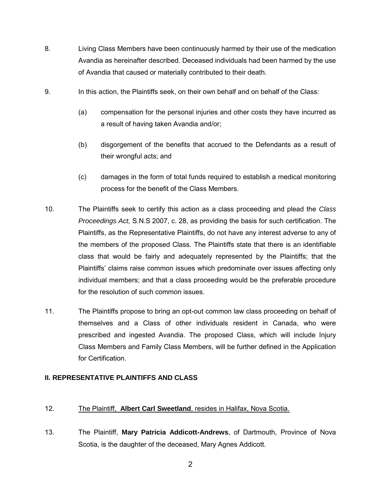- 8. Living Class Members have been continuously harmed by their use of the medication Avandia as hereinafter described. Deceased individuals had been harmed by the use of Avandia that caused or materially contributed to their death.
- 9. In this action, the Plaintiffs seek, on their own behalf and on behalf of the Class:
	- (a) compensation for the personal injuries and other costs they have incurred as a result of having taken Avandia and/or;
	- (b) disgorgement of the benefits that accrued to the Defendants as a result of their wrongful acts; and
	- (c) damages in the form of total funds required to establish a medical monitoring process for the benefit of the Class Members.
- 10. The Plaintiffs seek to certify this action as a class proceeding and plead the *Class Proceedings Act,* S.N.S 2007, c. 28, as providing the basis for such certification. The Plaintiffs, as the Representative Plaintiffs, do not have any interest adverse to any of the members of the proposed Class. The Plaintiffs state that there is an identifiable class that would be fairly and adequately represented by the Plaintiffs; that the Plaintiffs' claims raise common issues which predominate over issues affecting only individual members; and that a class proceeding would be the preferable procedure for the resolution of such common issues.
- 11. The Plaintiffs propose to bring an opt-out common law class proceeding on behalf of themselves and a Class of other individuals resident in Canada, who were prescribed and ingested Avandia. The proposed Class, which will include Injury Class Members and Family Class Members, will be further defined in the Application for Certification.

## **II. REPRESENTATIVE PLAINTIFFS AND CLASS**

## 12. The Plaintiff, **Albert Carl Sweetland**, resides in Halifax, Nova Scotia.

13. The Plaintiff, **Mary Patricia Addicott-Andrews**, of Dartmouth, Province of Nova Scotia, is the daughter of the deceased, Mary Agnes Addicott.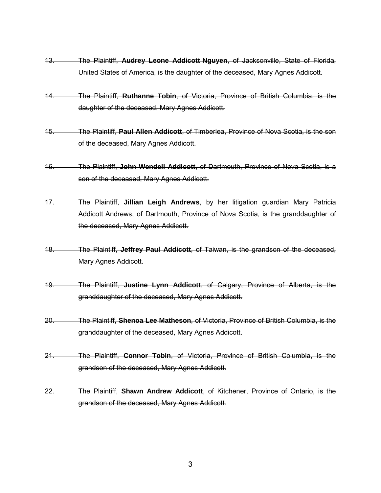- 13. The Plaintiff, **Audrey Leone Addicott Nguyen**, of Jacksonville, State of Florida, United States of America, is the daughter of the deceased, Mary Agnes Addicott.
- 14. The Plaintiff, **Ruthanne Tobin**, of Victoria, Province of British Columbia, is the daughter of the deceased, Mary Agnes Addicott.
- 15. The Plaintiff, **Paul Allen Addicott**, of Timberlea, Province of Nova Scotia, is the son of the deceased, Mary Agnes Addicott.
- 16. The Plaintiff, **John Wendell Addicott**, of Dartmouth, Province of Nova Scotia, is a son of the deceased. Mary Agnes Addicott.
- 17. The Plaintiff, **Jillian Leigh Andrews**, by her litigation guardian Mary Patricia Addicott Andrews, of Dartmouth, Province of Nova Scotia, is the granddaughter of the deceased, Mary Agnes Addicott.
- 18. The Plaintiff, **Jeffrey Paul Addicott**, of Taiwan, is the grandson of the deceased, Mary Agnes Addicott.
- 19. The Plaintiff, **Justine Lynn Addicott**, of Calgary, Province of Alberta, is the granddaughter of the deceased, Mary Agnes Addicott.
- 20. The Plaintiff, **Shenoa Lee Matheson**, of Victoria, Province of British Columbia, is the granddaughter of the deceased, Mary Agnes Addicott.
- 21. The Plaintiff, **Connor Tobin**, of Victoria, Province of British Columbia, is the grandson of the deceased, Mary Agnes Addicott.
- 22. The Plaintiff, **Shawn Andrew Addicott**, of Kitchener, Province of Ontario, is the grandson of the deceased, Mary Agnes Addicott.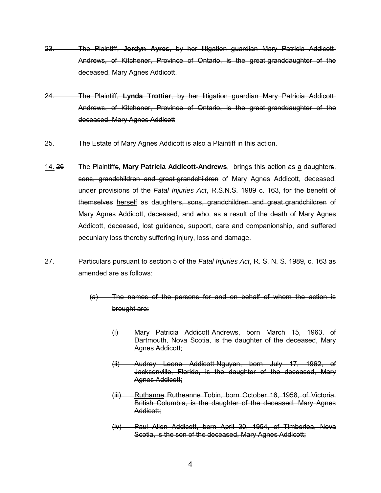- 23. The Plaintiff, **Jordyn Ayres**, by her litigation guardian Mary Patricia Addicott Andrews, of Kitchener, Province of Ontario, is the great granddaughter of the deceased, Mary Agnes Addicott.
- 24. The Plaintiff, **Lynda Trottier**, by her litigation guardian Mary Patricia Addicott Andrews, of Kitchener, Province of Ontario, is the great granddaughter of the deceased, Mary Agnes Addicott
- 25. The Estate of Mary Agnes Addicott is also a Plaintiff in this action.
- 14. 26 The Plaintiffs, **Mary Patricia Addicott-Andrews**, brings this action as a daughters, sons, grandchildren and great grandchildren of Mary Agnes Addicott, deceased, under provisions of the *Fatal Injuries Act*, R.S.N.S. 1989 c. 163, for the benefit of themselves herself as daughters, sons, grandchildren and great grandchildren of Mary Agnes Addicott, deceased, and who, as a result of the death of Mary Agnes Addicott, deceased, lost guidance, support, care and companionship, and suffered pecuniary loss thereby suffering injury, loss and damage.
- 27. Particulars pursuant to section 5 of the *Fatal Injuries Act*, R. S. N. S. 1989, c. 163 as amended are as follows:
	- (a) The names of the persons for and on behalf of whom the action is brought are:
		- (i) Mary Patricia Addicott Andrews, born March 15, 1963, of Dartmouth, Nova Scotia, is the daughter of the deceased, Mary Agnes Addicott;
		- (ii) Audrey Leone Addicott Nguyen, born July 17, 1962, of Jacksonville, Florida, is the daughter of the deceased, Mary Agnes Addicott;
		- (iii) Ruthanne Rutheanne Tobin, born October 16, 1958, of Victoria, British Columbia, is the daughter of the deceased, Mary Agnes Addicott;
		- (iv) Paul Allen Addicott, born April 30, 1954, of Timberlea, Nova Scotia, is the son of the deceased, Mary Agnes Addicott;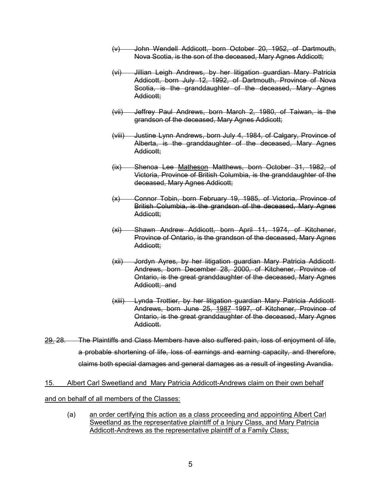- (v) John Wendell Addicott, born October 20, 1952, of Dartmouth, Nova Scotia, is the son of the deceased, Mary Agnes Addicott;
- (vi) Jillian Leigh Andrews, by her litigation guardian Mary Patricia Addicott, born July 12, 1992, of Dartmouth, Province of Nova Scotia, is the granddaughter of the deceased, Mary Agnes Addicott;
- (vii) Jeffrey Paul Andrews, born March 2, 1980, of Taiwan, is the grandson of the deceased, Mary Agnes Addicott;
- (viii) Justine Lynn Andrews, born July 4, 1984, of Calgary, Province of Alberta, is the granddaughter of the deceased, Mary Agnes Addicott;
- (ix) Shenoa Lee Matheson Matthews, born October 31, 1982, of Victoria, Province of British Columbia, is the granddaughter of the deceased, Mary Agnes Addicott;
- (x) Connor Tobin, born February 19, 1985, of Victoria, Province of British Columbia, is the grandson of the deceased, Mary Agnes Addicott;
- (xi) Shawn Andrew Addicott, born April 11, 1974, of Kitchener, Province of Ontario, is the grandson of the deceased, Mary Agnes Addicott;
- (xii) Jordyn Ayres, by her litigation guardian Mary Patricia Addicott Andrews, born December 28, 2000, of Kitchener, Province of Ontario, is the great granddaughter of the deceased, Mary Agnes Addicott; and
- (xiii) Lynda Trottier, by her litigation guardian Mary Patricia Addicott Andrews, born June 25, 1987 1997, of Kitchener, Province of Ontario, is the great granddaughter of the deceased, Mary Agnes Addicott.
- 29. 28. The Plaintiffs and Class Members have also suffered pain, loss of enjoyment of life, a probable shortening of life, loss of earnings and earning capacity, and therefore, claims both special damages and general damages as a result of ingesting Avandia.

15. Albert Carl Sweetland and Mary Patricia Addicott-Andrews claim on their own behalf and on behalf of all members of the Classes:

(a) an order certifying this action as a class proceeding and appointing Albert Carl Sweetland as the representative plaintiff of a Injury Class, and Mary Patricia Addicott-Andrews as the representative plaintiff of a Family Class;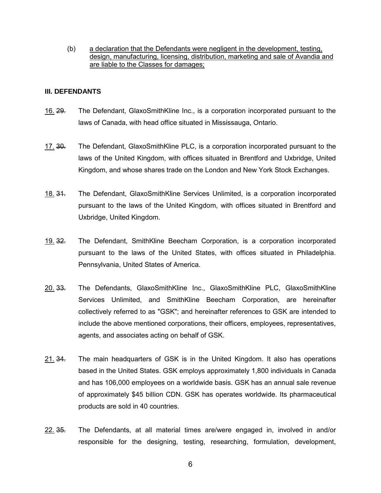(b) a declaration that the Defendants were negligent in the development, testing, design, manufacturing, licensing, distribution, marketing and sale of Avandia and are liable to the Classes for damages;

#### **III. DEFENDANTS**

- 16. 29. The Defendant, GlaxoSmithKline Inc., is a corporation incorporated pursuant to the laws of Canada, with head office situated in Mississauga, Ontario.
- 17. 30. The Defendant, GlaxoSmithKline PLC, is a corporation incorporated pursuant to the laws of the United Kingdom, with offices situated in Brentford and Uxbridge, United Kingdom, and whose shares trade on the London and New York Stock Exchanges.
- 18. 34. The Defendant, GlaxoSmithKline Services Unlimited, is a corporation incorporated pursuant to the laws of the United Kingdom, with offices situated in Brentford and Uxbridge, United Kingdom.
- 19. 32. The Defendant, SmithKline Beecham Corporation, is a corporation incorporated pursuant to the laws of the United States, with offices situated in Philadelphia. Pennsylvania, United States of America.
- 20. 33. The Defendants, GlaxoSmithKline Inc., GlaxoSmithKline PLC, GlaxoSmithKline Services Unlimited, and SmithKline Beecham Corporation, are hereinafter collectively referred to as "GSK"; and hereinafter references to GSK are intended to include the above mentioned corporations, their officers, employees, representatives, agents, and associates acting on behalf of GSK.
- 21. 34. The main headquarters of GSK is in the United Kingdom. It also has operations based in the United States. GSK employs approximately 1,800 individuals in Canada and has 106,000 employees on a worldwide basis. GSK has an annual sale revenue of approximately \$45 billion CDN. GSK has operates worldwide. Its pharmaceutical products are sold in 40 countries.
- 22. 35. The Defendants, at all material times are/were engaged in, involved in and/or responsible for the designing, testing, researching, formulation, development,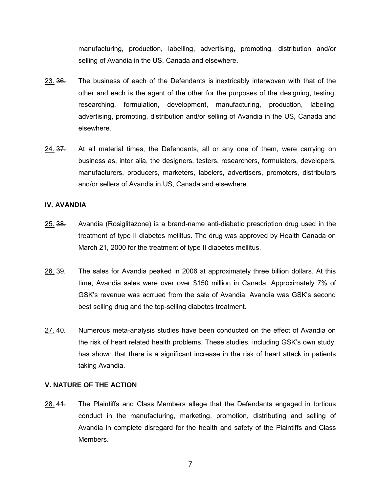manufacturing, production, labelling, advertising, promoting, distribution and/or selling of Avandia in the US, Canada and elsewhere.

- 23. 36. The business of each of the Defendants is inextricably interwoven with that of the other and each is the agent of the other for the purposes of the designing, testing, researching, formulation, development, manufacturing, production, labeling, advertising, promoting, distribution and/or selling of Avandia in the US, Canada and elsewhere.
- 24. 37. At all material times, the Defendants, all or any one of them, were carrying on business as, inter alia, the designers, testers, researchers, formulators, developers, manufacturers, producers, marketers, labelers, advertisers, promoters, distributors and/or sellers of Avandia in US, Canada and elsewhere.

#### **IV. AVANDIA**

- 25. 38. Avandia (Rosiglitazone) is a brand-name anti-diabetic prescription drug used in the treatment of type II diabetes mellitus. The drug was approved by Health Canada on March 21, 2000 for the treatment of type II diabetes mellitus.
- 26. 39. The sales for Avandia peaked in 2006 at approximately three billion dollars. At this time, Avandia sales were over over \$150 million in Canada. Approximately 7% of GSK's revenue was acrrued from the sale of Avandia. Avandia was GSK's second best selling drug and the top-selling diabetes treatment.
- 27. 40. Numerous meta-analysis studies have been conducted on the effect of Avandia on the risk of heart related health problems. These studies, including GSK's own study, has shown that there is a significant increase in the risk of heart attack in patients taking Avandia.

#### **V. NATURE OF THE ACTION**

28. 44. The Plaintiffs and Class Members allege that the Defendants engaged in tortious conduct in the manufacturing, marketing, promotion, distributing and selling of Avandia in complete disregard for the health and safety of the Plaintiffs and Class Members.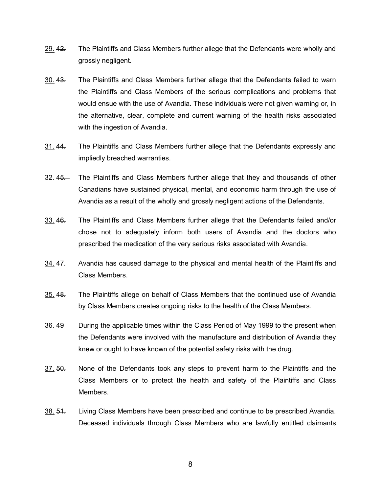- 29. 42. The Plaintiffs and Class Members further allege that the Defendants were wholly and grossly negligent.
- 30. 43. The Plaintiffs and Class Members further allege that the Defendants failed to warn the Plaintiffs and Class Members of the serious complications and problems that would ensue with the use of Avandia. These individuals were not given warning or, in the alternative, clear, complete and current warning of the health risks associated with the ingestion of Avandia.
- 31. 44. The Plaintiffs and Class Members further allege that the Defendants expressly and impliedly breached warranties.
- 32. 45. The Plaintiffs and Class Members further allege that they and thousands of other Canadians have sustained physical, mental, and economic harm through the use of Avandia as a result of the wholly and grossly negligent actions of the Defendants.
- 33. 46. The Plaintiffs and Class Members further allege that the Defendants failed and/or chose not to adequately inform both users of Avandia and the doctors who prescribed the medication of the very serious risks associated with Avandia.
- 34. 47. Avandia has caused damage to the physical and mental health of the Plaintiffs and Class Members.
- 35. 48. The Plaintiffs allege on behalf of Class Members that the continued use of Avandia by Class Members creates ongoing risks to the health of the Class Members.
- 36. 49 During the applicable times within the Class Period of May 1999 to the present when the Defendants were involved with the manufacture and distribution of Avandia they knew or ought to have known of the potential safety risks with the drug.
- 37. 50. None of the Defendants took any steps to prevent harm to the Plaintiffs and the Class Members or to protect the health and safety of the Plaintiffs and Class Members.
- 38. 51. Living Class Members have been prescribed and continue to be prescribed Avandia. Deceased individuals through Class Members who are lawfully entitled claimants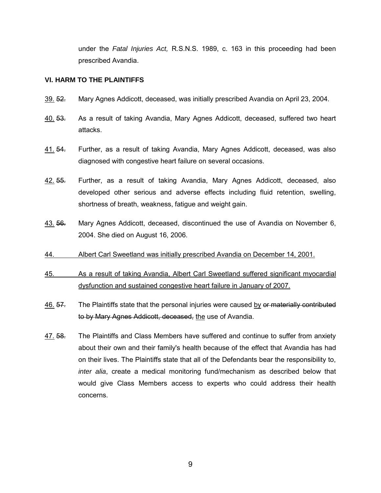under the *Fatal Injuries Act,* R.S.N.S. 1989, c. 163 in this proceeding had been prescribed Avandia.

## **VI. HARM TO THE PLAINTIFFS**

- 39. 52. Mary Agnes Addicott, deceased, was initially prescribed Avandia on April 23, 2004.
- 40. 53. As a result of taking Avandia, Mary Agnes Addicott, deceased, suffered two heart attacks.
- 41. 54. Further, as a result of taking Avandia, Mary Agnes Addicott, deceased, was also diagnosed with congestive heart failure on several occasions.
- 42. 55. Further, as a result of taking Avandia, Mary Agnes Addicott, deceased, also developed other serious and adverse effects including fluid retention, swelling, shortness of breath, weakness, fatigue and weight gain.
- 43. 56. Mary Agnes Addicott, deceased, discontinued the use of Avandia on November 6, 2004. She died on August 16, 2006.
- 44. Albert Carl Sweetland was initially prescribed Avandia on December 14, 2001.
- 45. As a result of taking Avandia, Albert Carl Sweetland suffered significant myocardial dysfunction and sustained congestive heart failure in January of 2007.
- $\frac{46.57}{7}$  The Plaintiffs state that the personal injuries were caused by or materially contributed to by Mary Agnes Addicott, deceased, the use of Avandia.
- 47. 58. The Plaintiffs and Class Members have suffered and continue to suffer from anxiety about their own and their family's health because of the effect that Avandia has had on their lives. The Plaintiffs state that all of the Defendants bear the responsibility to, *inter alia*, create a medical monitoring fund/mechanism as described below that would give Class Members access to experts who could address their health concerns.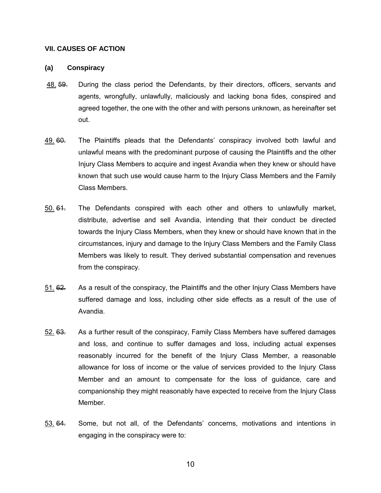#### **VII. CAUSES OF ACTION**

#### **(a) Conspiracy**

- 48. 59. During the class period the Defendants, by their directors, officers, servants and agents, wrongfully, unlawfully, maliciously and lacking bona fides, conspired and agreed together, the one with the other and with persons unknown, as hereinafter set out.
- 49. 60. The Plaintiffs pleads that the Defendants' conspiracy involved both lawful and unlawful means with the predominant purpose of causing the Plaintiffs and the other Injury Class Members to acquire and ingest Avandia when they knew or should have known that such use would cause harm to the Injury Class Members and the Family Class Members.
- 50. 61. The Defendants conspired with each other and others to unlawfully market, distribute, advertise and sell Avandia, intending that their conduct be directed towards the Injury Class Members, when they knew or should have known that in the circumstances, injury and damage to the Injury Class Members and the Family Class Members was likely to result. They derived substantial compensation and revenues from the conspiracy.
- 51. 62. As a result of the conspiracy, the Plaintiffs and the other Injury Class Members have suffered damage and loss, including other side effects as a result of the use of Avandia.
- 52. 63. As a further result of the conspiracy, Family Class Members have suffered damages and loss, and continue to suffer damages and loss, including actual expenses reasonably incurred for the benefit of the Injury Class Member, a reasonable allowance for loss of income or the value of services provided to the Injury Class Member and an amount to compensate for the loss of guidance, care and companionship they might reasonably have expected to receive from the Injury Class Member.
- 53. 64. Some, but not all, of the Defendants' concerns, motivations and intentions in engaging in the conspiracy were to: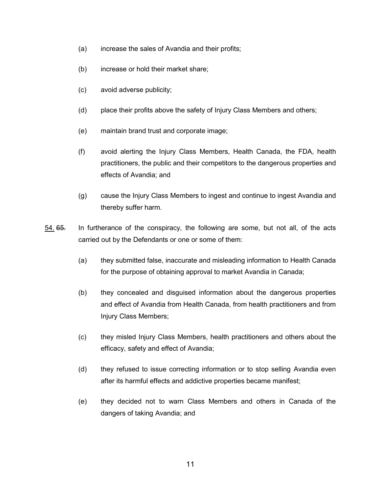- (a) increase the sales of Avandia and their profits;
- (b) increase or hold their market share;
- (c) avoid adverse publicity;
- (d) place their profits above the safety of Injury Class Members and others;
- (e) maintain brand trust and corporate image;
- (f) avoid alerting the Injury Class Members, Health Canada, the FDA, health practitioners, the public and their competitors to the dangerous properties and effects of Avandia; and
- (g) cause the Injury Class Members to ingest and continue to ingest Avandia and thereby suffer harm.
- 54. 65. In furtherance of the conspiracy, the following are some, but not all, of the acts carried out by the Defendants or one or some of them:
	- (a) they submitted false, inaccurate and misleading information to Health Canada for the purpose of obtaining approval to market Avandia in Canada;
	- (b) they concealed and disguised information about the dangerous properties and effect of Avandia from Health Canada, from health practitioners and from Injury Class Members;
	- (c) they misled Injury Class Members, health practitioners and others about the efficacy, safety and effect of Avandia;
	- (d) they refused to issue correcting information or to stop selling Avandia even after its harmful effects and addictive properties became manifest;
	- (e) they decided not to warn Class Members and others in Canada of the dangers of taking Avandia; and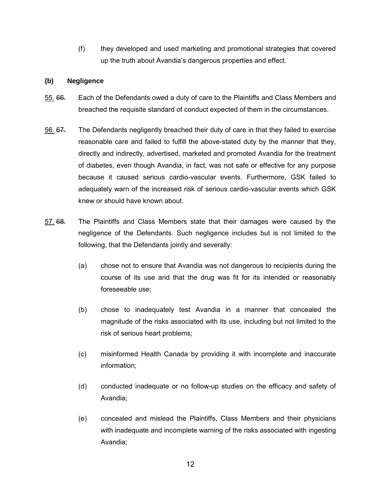(f) they developed and used marketing and promotional strategies that covered up the truth about Avandia's dangerous properties and effect.

## **(b) Negligence**

- 55. 66. Each of the Defendants owed a duty of care to the Plaintiffs and Class Members and breached the requisite standard of conduct expected of them in the circumstances.
- 56. 67. The Defendants negligently breached their duty of care in that they failed to exercise reasonable care and failed to fulfill the above-stated duty by the manner that they, directly and indirectly, advertised, marketed and promoted Avandia for the treatment of diabetes, even though Avandia, in fact, was not safe or effective for any purpose because it caused serious cardio-vascular events. Furthermore, GSK failed to adequately warn of the increased risk of serious cardio-vascular events which GSK knew or should have known about.
- 57. 68. The Plaintiffs and Class Members state that their damages were caused by the negligence of the Defendants. Such negligence includes but is not limited to the following, that the Defendants jointly and severally:
	- (a) chose not to ensure that Avandia was not dangerous to recipients during the course of its use and that the drug was fit for its intended or reasonably foreseeable use;
	- (b) chose to inadequately test Avandia in a manner that concealed the magnitude of the risks associated with its use, including but not limited to the risk of serious heart problems;
	- (c) misinformed Health Canada by providing it with incomplete and inaccurate information;
	- (d) conducted inadequate or no follow-up studies on the efficacy and safety of Avandia;
	- (e) concealed and mislead the Plaintiffs, Class Members and their physicians with inadequate and incomplete warning of the risks associated with ingesting Avandia;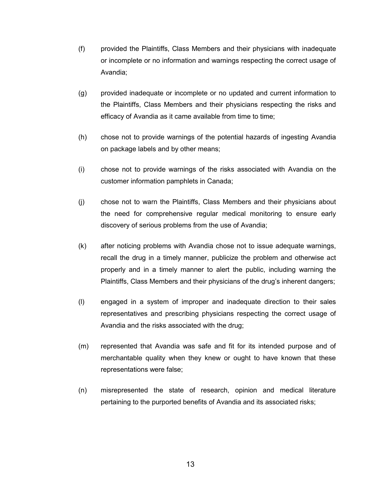- (f) provided the Plaintiffs, Class Members and their physicians with inadequate or incomplete or no information and warnings respecting the correct usage of Avandia;
- (g) provided inadequate or incomplete or no updated and current information to the Plaintiffs, Class Members and their physicians respecting the risks and efficacy of Avandia as it came available from time to time;
- (h) chose not to provide warnings of the potential hazards of ingesting Avandia on package labels and by other means;
- (i) chose not to provide warnings of the risks associated with Avandia on the customer information pamphlets in Canada;
- (j) chose not to warn the Plaintiffs, Class Members and their physicians about the need for comprehensive regular medical monitoring to ensure early discovery of serious problems from the use of Avandia;
- (k) after noticing problems with Avandia chose not to issue adequate warnings, recall the drug in a timely manner, publicize the problem and otherwise act properly and in a timely manner to alert the public, including warning the Plaintiffs, Class Members and their physicians of the drug's inherent dangers;
- (l) engaged in a system of improper and inadequate direction to their sales representatives and prescribing physicians respecting the correct usage of Avandia and the risks associated with the drug;
- (m) represented that Avandia was safe and fit for its intended purpose and of merchantable quality when they knew or ought to have known that these representations were false;
- (n) misrepresented the state of research, opinion and medical literature pertaining to the purported benefits of Avandia and its associated risks;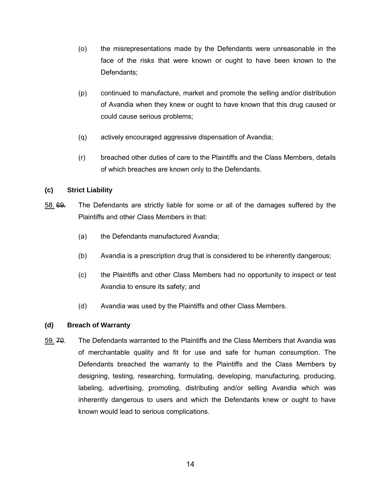- (o) the misrepresentations made by the Defendants were unreasonable in the face of the risks that were known or ought to have been known to the Defendants;
- (p) continued to manufacture, market and promote the selling and/or distribution of Avandia when they knew or ought to have known that this drug caused or could cause serious problems;
- (q) actively encouraged aggressive dispensation of Avandia;
- (r) breached other duties of care to the Plaintiffs and the Class Members, details of which breaches are known only to the Defendants.

## **(c) Strict Liability**

- 58. 69. The Defendants are strictly liable for some or all of the damages suffered by the Plaintiffs and other Class Members in that:
	- (a) the Defendants manufactured Avandia;
	- (b) Avandia is a prescription drug that is considered to be inherently dangerous;
	- (c) the Plaintiffs and other Class Members had no opportunity to inspect or test Avandia to ensure its safety; and
	- (d) Avandia was used by the Plaintiffs and other Class Members.

## **(d) Breach of Warranty**

59. 70. The Defendants warranted to the Plaintiffs and the Class Members that Avandia was of merchantable quality and fit for use and safe for human consumption. The Defendants breached the warranty to the Plaintiffs and the Class Members by designing, testing, researching, formulating, developing, manufacturing, producing, labeling, advertising, promoting, distributing and/or selling Avandia which was inherently dangerous to users and which the Defendants knew or ought to have known would lead to serious complications.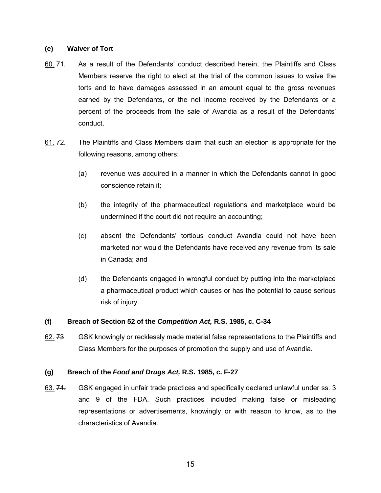#### **(e) Waiver of Tort**

- 60. 71. As a result of the Defendants' conduct described herein, the Plaintiffs and Class Members reserve the right to elect at the trial of the common issues to waive the torts and to have damages assessed in an amount equal to the gross revenues earned by the Defendants, or the net income received by the Defendants or a percent of the proceeds from the sale of Avandia as a result of the Defendants' conduct.
- 61. 72. The Plaintiffs and Class Members claim that such an election is appropriate for the following reasons, among others:
	- (a) revenue was acquired in a manner in which the Defendants cannot in good conscience retain it;
	- (b) the integrity of the pharmaceutical regulations and marketplace would be undermined if the court did not require an accounting;
	- (c) absent the Defendants' tortious conduct Avandia could not have been marketed nor would the Defendants have received any revenue from its sale in Canada; and
	- (d) the Defendants engaged in wrongful conduct by putting into the marketplace a pharmaceutical product which causes or has the potential to cause serious risk of injury.

## **(f) Breach of Section 52 of the** *Competition Act,* **R.S. 1985, c. C-34**

62. 73 GSK knowingly or recklessly made material false representations to the Plaintiffs and Class Members for the purposes of promotion the supply and use of Avandia.

#### **(g) Breach of the** *Food and Drugs Act,* **R.S. 1985, c. F-27**

63. 74. GSK engaged in unfair trade practices and specifically declared unlawful under ss. 3 and 9 of the FDA. Such practices included making false or misleading representations or advertisements, knowingly or with reason to know, as to the characteristics of Avandia.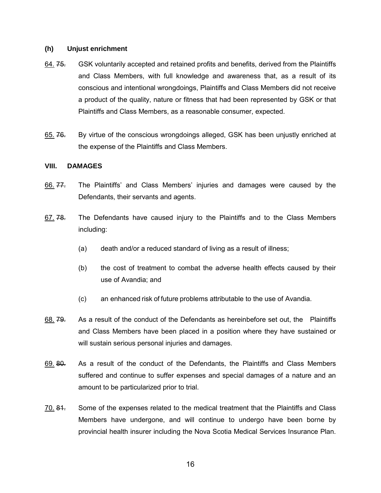#### **(h) Unjust enrichment**

- 64. 75. GSK voluntarily accepted and retained profits and benefits, derived from the Plaintiffs and Class Members, with full knowledge and awareness that, as a result of its conscious and intentional wrongdoings, Plaintiffs and Class Members did not receive a product of the quality, nature or fitness that had been represented by GSK or that Plaintiffs and Class Members, as a reasonable consumer, expected.
- 65. 76. By virtue of the conscious wrongdoings alleged, GSK has been unjustly enriched at the expense of the Plaintiffs and Class Members.

#### **VIII. DAMAGES**

- 66. 77. The Plaintiffs' and Class Members' injuries and damages were caused by the Defendants, their servants and agents.
- 67. 78. The Defendants have caused injury to the Plaintiffs and to the Class Members including:
	- (a) death and/or a reduced standard of living as a result of illness;
	- (b) the cost of treatment to combat the adverse health effects caused by their use of Avandia; and
	- (c) an enhanced risk of future problems attributable to the use of Avandia.
- 68. 79. As a result of the conduct of the Defendants as hereinbefore set out, the Plaintiffs and Class Members have been placed in a position where they have sustained or will sustain serious personal injuries and damages.
- 69. 80. As a result of the conduct of the Defendants, the Plaintiffs and Class Members suffered and continue to suffer expenses and special damages of a nature and an amount to be particularized prior to trial.
- 70. 81. Some of the expenses related to the medical treatment that the Plaintiffs and Class Members have undergone, and will continue to undergo have been borne by provincial health insurer including the Nova Scotia Medical Services Insurance Plan.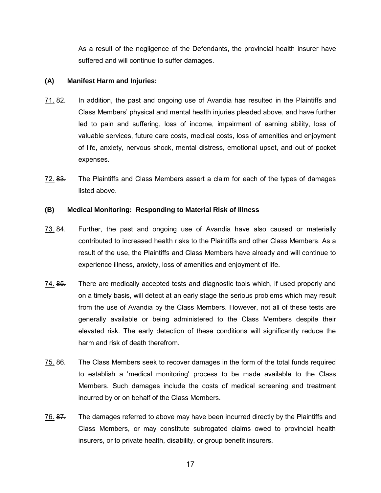As a result of the negligence of the Defendants, the provincial health insurer have suffered and will continue to suffer damages.

## **(A) Manifest Harm and Injuries:**

- 71. 82. In addition, the past and ongoing use of Avandia has resulted in the Plaintiffs and Class Members' physical and mental health injuries pleaded above, and have further led to pain and suffering, loss of income, impairment of earning ability, loss of valuable services, future care costs, medical costs, loss of amenities and enjoyment of life, anxiety, nervous shock, mental distress, emotional upset, and out of pocket expenses.
- 72. 83. The Plaintiffs and Class Members assert a claim for each of the types of damages listed above.

## **(B) Medical Monitoring: Responding to Material Risk of Illness**

- 73. 84. Further, the past and ongoing use of Avandia have also caused or materially contributed to increased health risks to the Plaintiffs and other Class Members. As a result of the use, the Plaintiffs and Class Members have already and will continue to experience illness, anxiety, loss of amenities and enjoyment of life.
- 74. 85. There are medically accepted tests and diagnostic tools which, if used properly and on a timely basis, will detect at an early stage the serious problems which may result from the use of Avandia by the Class Members. However, not all of these tests are generally available or being administered to the Class Members despite their elevated risk. The early detection of these conditions will significantly reduce the harm and risk of death therefrom.
- 75. 86. The Class Members seek to recover damages in the form of the total funds required to establish a 'medical monitoring' process to be made available to the Class Members. Such damages include the costs of medical screening and treatment incurred by or on behalf of the Class Members.
- 76. 87. The damages referred to above may have been incurred directly by the Plaintiffs and Class Members, or may constitute subrogated claims owed to provincial health insurers, or to private health, disability, or group benefit insurers.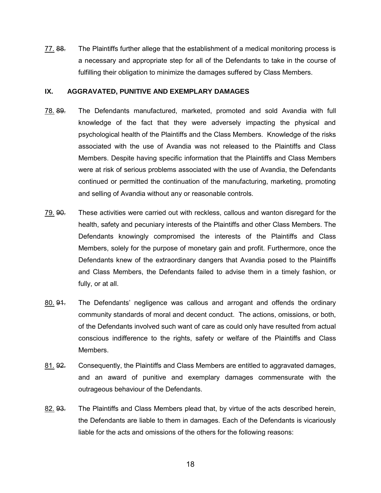77. 88. The Plaintiffs further allege that the establishment of a medical monitoring process is a necessary and appropriate step for all of the Defendants to take in the course of fulfilling their obligation to minimize the damages suffered by Class Members.

#### **IX. AGGRAVATED, PUNITIVE AND EXEMPLARY DAMAGES**

- 78. 89. The Defendants manufactured, marketed, promoted and sold Avandia with full knowledge of the fact that they were adversely impacting the physical and psychological health of the Plaintiffs and the Class Members. Knowledge of the risks associated with the use of Avandia was not released to the Plaintiffs and Class Members. Despite having specific information that the Plaintiffs and Class Members were at risk of serious problems associated with the use of Avandia, the Defendants continued or permitted the continuation of the manufacturing, marketing, promoting and selling of Avandia without any or reasonable controls.
- 79. 90. These activities were carried out with reckless, callous and wanton disregard for the health, safety and pecuniary interests of the Plaintiffs and other Class Members. The Defendants knowingly compromised the interests of the Plaintiffs and Class Members, solely for the purpose of monetary gain and profit. Furthermore, once the Defendants knew of the extraordinary dangers that Avandia posed to the Plaintiffs and Class Members, the Defendants failed to advise them in a timely fashion, or fully, or at all.
- 80. 94. The Defendants' negligence was callous and arrogant and offends the ordinary community standards of moral and decent conduct. The actions, omissions, or both, of the Defendants involved such want of care as could only have resulted from actual conscious indifference to the rights, safety or welfare of the Plaintiffs and Class Members.
- 81. 92. Consequently, the Plaintiffs and Class Members are entitled to aggravated damages, and an award of punitive and exemplary damages commensurate with the outrageous behaviour of the Defendants.
- 82. 93. The Plaintiffs and Class Members plead that, by virtue of the acts described herein, the Defendants are liable to them in damages. Each of the Defendants is vicariously liable for the acts and omissions of the others for the following reasons: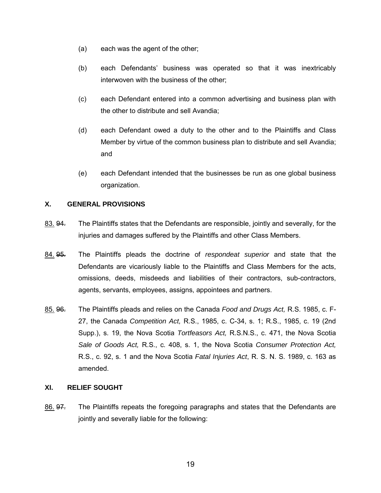- (a) each was the agent of the other;
- (b) each Defendants' business was operated so that it was inextricably interwoven with the business of the other;
- (c) each Defendant entered into a common advertising and business plan with the other to distribute and sell Avandia;
- (d) each Defendant owed a duty to the other and to the Plaintiffs and Class Member by virtue of the common business plan to distribute and sell Avandia; and
- (e) each Defendant intended that the businesses be run as one global business organization.

## **X. GENERAL PROVISIONS**

- 83. 94. The Plaintiffs states that the Defendants are responsible, jointly and severally, for the injuries and damages suffered by the Plaintiffs and other Class Members.
- 84. 95. The Plaintiffs pleads the doctrine of *respondeat superior* and state that the Defendants are vicariously liable to the Plaintiffs and Class Members for the acts, omissions, deeds, misdeeds and liabilities of their contractors, sub-contractors, agents, servants, employees, assigns, appointees and partners.
- 85. 96. The Plaintiffs pleads and relies on the Canada *Food and Drugs Act,* R.S. 1985, c. F-27, the Canada *Competition Act,* R.S., 1985, c. C-34, s. 1; R.S., 1985, c. 19 (2nd Supp.), s. 19, the Nova Scotia *Tortfeasors Act,* R.S.N.S., c. 471, the Nova Scotia *Sale of Goods Act,* R.S., c. 408, s. 1, the Nova Scotia *Consumer Protection Act,* R.S., c. 92, s. 1 and the Nova Scotia *Fatal Injuries Act*, R. S. N. S. 1989, c. 163 as amended.

## **XI. RELIEF SOUGHT**

86. 97. The Plaintiffs repeats the foregoing paragraphs and states that the Defendants are jointly and severally liable for the following: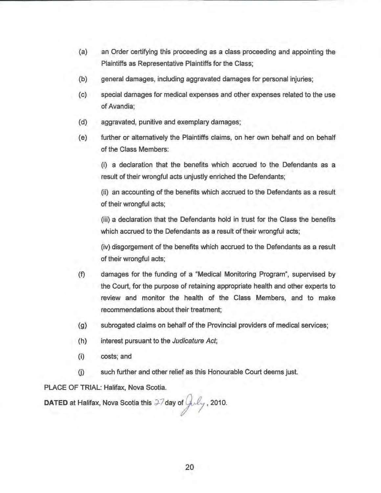- (a) an Order certifying this proceeding as a class proceeding and appointing the Plaintiffs as Representative Plaintiffs for the Class;
- (b) general damages, including aggravated damages for personal injuries;
- (c) special damages for medical expenses and other expenses related to the use of Avandia;
- (d) aggravated, punitive and exemplary damages;
- (e) further or alternatively the Plaintiffs claims, on her own behalf and on behalf of the Class Members:

(i) a declaration that the benefits which accrued to the Defendants as a result of their wrongful acts unjustly enriched the Defendants;

(ii) an accounting of the benefits which accrued to the Defendants as a result of their wrongful acts;

(iii) a declaration that the Defendants hold in trust for the Class the benefits which accrued to the Defendants as a result of their wrongfuf acts;

(iv) disgorgement of the benefits which accrued to the Defendants as a result of their wrongful acts;

- (f) damages for the funding of a "Medical Monitoring Program", supervised by the Court, for the purpose of retaining appropriate health and other experts to review and monitor the health of the Class Members, and to make recommendations about their treatment;
- (g) subrogated claims on behalf of the Provincial providers of medical services;
- (h) interest pursuant to the Judicature Act;
	- (i) costs; and
	- 0) such further and other relief as this Honourable Court deems just.

PLACE OF TRIAL: Halifax, Nova Scotia.

DATED at Halifax, Nova Scotia this  $27$  day of  $\int_M \mu_y$ , 2010.